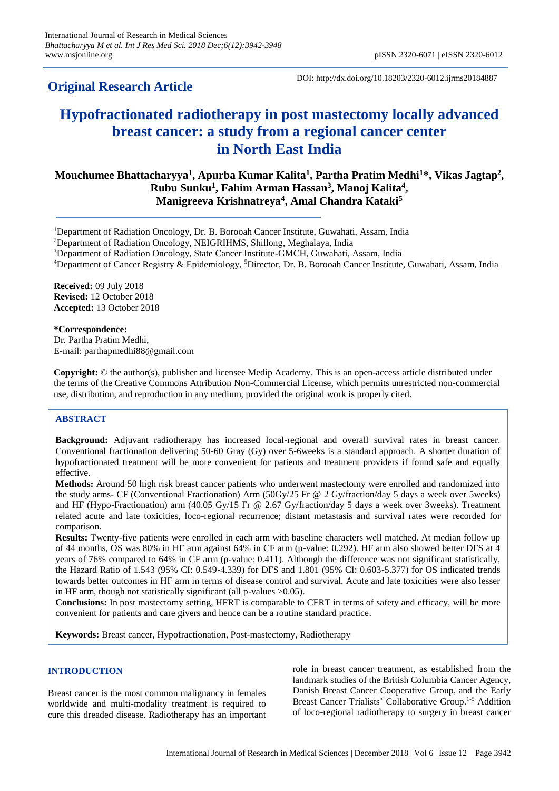**Original Research Article**

DOI: http://dx.doi.org/10.18203/2320-6012.ijrms20184887

# **Hypofractionated radiotherapy in post mastectomy locally advanced breast cancer: a study from a regional cancer center in North East India**

# **Mouchumee Bhattacharyya<sup>1</sup> , Apurba Kumar Kalita<sup>1</sup> , Partha Pratim Medhi<sup>1</sup>\*, Vikas Jagtap<sup>2</sup> , Rubu Sunku<sup>1</sup> , Fahim Arman Hassan<sup>3</sup> , Manoj Kalita<sup>4</sup> , Manigreeva Krishnatreya<sup>4</sup> , Amal Chandra Kataki<sup>5</sup>**

<sup>1</sup>Department of Radiation Oncology, Dr. B. Borooah Cancer Institute, Guwahati, Assam, India

<sup>2</sup>Department of Radiation Oncology, NEIGRIHMS, Shillong, Meghalaya, India

<sup>3</sup>Department of Radiation Oncology, State Cancer Institute-GMCH, Guwahati, Assam, India

<sup>4</sup>Department of Cancer Registry & Epidemiology, <sup>5</sup>Director, Dr. B. Borooah Cancer Institute, Guwahati, Assam, India

**Received:** 09 July 2018 **Revised:** 12 October 2018 **Accepted:** 13 October 2018

**\*Correspondence:** Dr. Partha Pratim Medhi, E-mail: parthapmedhi88@gmail.com

**Copyright:** © the author(s), publisher and licensee Medip Academy. This is an open-access article distributed under the terms of the Creative Commons Attribution Non-Commercial License, which permits unrestricted non-commercial use, distribution, and reproduction in any medium, provided the original work is properly cited.

# **ABSTRACT**

**Background:** Adjuvant radiotherapy has increased local-regional and overall survival rates in breast cancer. Conventional fractionation delivering 50-60 Gray (Gy) over 5-6weeks is a standard approach. A shorter duration of hypofractionated treatment will be more convenient for patients and treatment providers if found safe and equally effective.

**Methods:** Around 50 high risk breast cancer patients who underwent mastectomy were enrolled and randomized into the study arms- CF (Conventional Fractionation) Arm (50Gy/25 Fr @ 2 Gy/fraction/day 5 days a week over 5weeks) and HF (Hypo-Fractionation) arm (40.05 Gy/15 Fr @ 2.67 Gy/fraction/day 5 days a week over 3weeks). Treatment related acute and late toxicities, loco-regional recurrence; distant metastasis and survival rates were recorded for comparison.

**Results:** Twenty-five patients were enrolled in each arm with baseline characters well matched. At median follow up of 44 months, OS was 80% in HF arm against 64% in CF arm (p-value: 0.292). HF arm also showed better DFS at 4 years of 76% compared to 64% in CF arm (p-value: 0.411). Although the difference was not significant statistically, the Hazard Ratio of 1.543 (95% CI: 0.549-4.339) for DFS and 1.801 (95% CI: 0.603-5.377) for OS indicated trends towards better outcomes in HF arm in terms of disease control and survival. Acute and late toxicities were also lesser in HF arm, though not statistically significant (all p-values >0.05).

**Conclusions:** In post mastectomy setting, HFRT is comparable to CFRT in terms of safety and efficacy, will be more convenient for patients and care givers and hence can be a routine standard practice.

**Keywords:** Breast cancer, Hypofractionation, Post-mastectomy, Radiotherapy

# **INTRODUCTION**

Breast cancer is the most common malignancy in females worldwide and multi-modality treatment is required to cure this dreaded disease. Radiotherapy has an important role in breast cancer treatment, as established from the landmark studies of the British Columbia Cancer Agency, Danish Breast Cancer Cooperative Group, and the Early Breast Cancer Trialists' Collaborative Group.1-5 Addition of loco-regional radiotherapy to surgery in breast cancer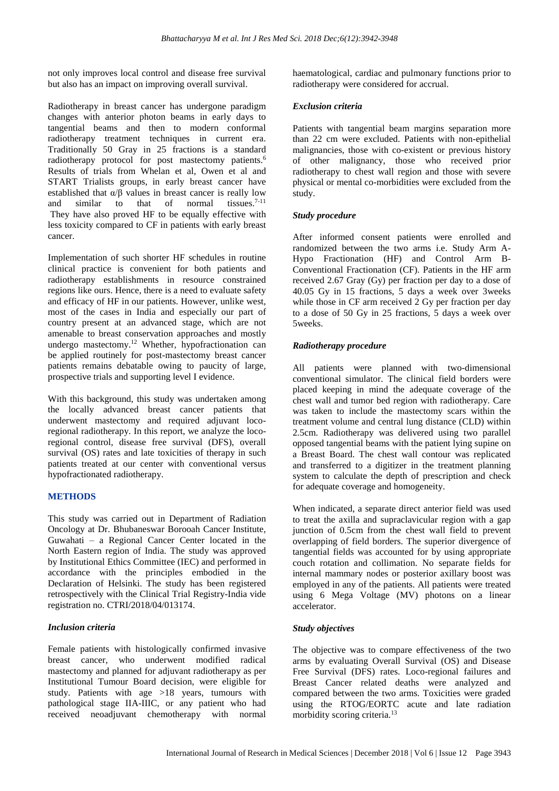not only improves local control and disease free survival but also has an impact on improving overall survival.

Radiotherapy in breast cancer has undergone paradigm changes with anterior photon beams in early days to tangential beams and then to modern conformal radiotherapy treatment techniques in current era. Traditionally 50 Gray in 25 fractions is a standard radiotherapy protocol for post mastectomy patients.<sup>6</sup> Results of trials from Whelan et al, Owen et al and START Trialists groups, in early breast cancer have established that  $\alpha/\beta$  values in breast cancer is really low and similar to that of normal tissues. $7-11$ They have also proved HF to be equally effective with less toxicity compared to CF in patients with early breast cancer.

Implementation of such shorter HF schedules in routine clinical practice is convenient for both patients and radiotherapy establishments in resource constrained regions like ours. Hence, there is a need to evaluate safety and efficacy of HF in our patients. However, unlike west, most of the cases in India and especially our part of country present at an advanced stage, which are not amenable to breast conservation approaches and mostly undergo mastectomy.<sup>12</sup> Whether, hypofractionation can be applied routinely for post-mastectomy breast cancer patients remains debatable owing to paucity of large, prospective trials and supporting level I evidence.

With this background, this study was undertaken among the locally advanced breast cancer patients that underwent mastectomy and required adjuvant locoregional radiotherapy. In this report, we analyze the locoregional control, disease free survival (DFS), overall survival (OS) rates and late toxicities of therapy in such patients treated at our center with conventional versus hypofractionated radiotherapy.

# **METHODS**

This study was carried out in Department of Radiation Oncology at Dr. Bhubaneswar Borooah Cancer Institute, Guwahati – a Regional Cancer Center located in the North Eastern region of India. The study was approved by Institutional Ethics Committee (IEC) and performed in accordance with the principles embodied in the Declaration of Helsinki. The study has been registered retrospectively with the Clinical Trial Registry-India vide registration no. CTRI/2018/04/013174.

# *Inclusion criteria*

Female patients with histologically confirmed invasive breast cancer, who underwent modified radical mastectomy and planned for adjuvant radiotherapy as per Institutional Tumour Board decision, were eligible for study. Patients with age >18 years, tumours with pathological stage IIA-IIIC, or any patient who had received neoadjuvant chemotherapy with normal haematological, cardiac and pulmonary functions prior to radiotherapy were considered for accrual.

#### *Exclusion criteria*

Patients with tangential beam margins separation more than 22 cm were excluded. Patients with non-epithelial malignancies, those with co-existent or previous history of other malignancy, those who received prior radiotherapy to chest wall region and those with severe physical or mental co-morbidities were excluded from the study.

# *Study procedure*

After informed consent patients were enrolled and randomized between the two arms i.e. Study Arm A-Hypo Fractionation (HF) and Control Arm B-Conventional Fractionation (CF). Patients in the HF arm received 2.67 Gray (Gy) per fraction per day to a dose of 40.05 Gy in 15 fractions, 5 days a week over 3weeks while those in CF arm received 2 Gy per fraction per day to a dose of 50 Gy in 25 fractions, 5 days a week over 5weeks.

# *Radiotherapy procedure*

All patients were planned with two-dimensional conventional simulator. The clinical field borders were placed keeping in mind the adequate coverage of the chest wall and tumor bed region with radiotherapy. Care was taken to include the mastectomy scars within the treatment volume and central lung distance (CLD) within 2.5cm. Radiotherapy was delivered using two parallel opposed tangential beams with the patient lying supine on a Breast Board. The chest wall contour was replicated and transferred to a digitizer in the treatment planning system to calculate the depth of prescription and check for adequate coverage and homogeneity.

When indicated, a separate direct anterior field was used to treat the axilla and supraclavicular region with a gap junction of 0.5cm from the chest wall field to prevent overlapping of field borders. The superior divergence of tangential fields was accounted for by using appropriate couch rotation and collimation. No separate fields for internal mammary nodes or posterior axillary boost was employed in any of the patients. All patients were treated using 6 Mega Voltage (MV) photons on a linear accelerator.

# *Study objectives*

The objective was to compare effectiveness of the two arms by evaluating Overall Survival (OS) and Disease Free Survival (DFS) rates. Loco-regional failures and Breast Cancer related deaths were analyzed and compared between the two arms. Toxicities were graded using the RTOG/EORTC acute and late radiation morbidity scoring criteria.<sup>13</sup>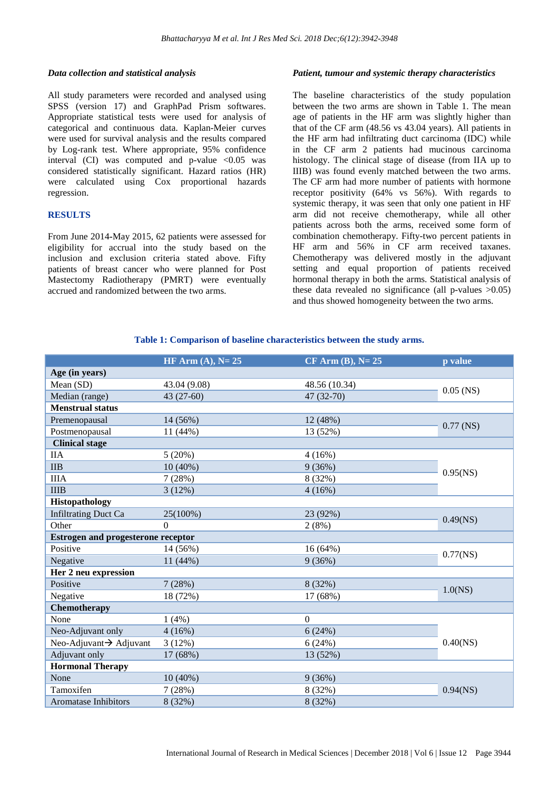#### *Data collection and statistical analysis*

All study parameters were recorded and analysed using SPSS (version 17) and GraphPad Prism softwares. Appropriate statistical tests were used for analysis of categorical and continuous data. Kaplan-Meier curves were used for survival analysis and the results compared by Log-rank test. Where appropriate, 95% confidence interval (CI) was computed and p-value  $\langle 0.05 \rangle$  was considered statistically significant. Hazard ratios (HR) were calculated using Cox proportional hazards regression.

# **RESULTS**

From June 2014**-**May 2015, 62 patients were assessed for eligibility for accrual into the study based on the inclusion and exclusion criteria stated above. Fifty patients of breast cancer who were planned for Post Mastectomy Radiotherapy (PMRT) were eventually accrued and randomized between the two arms.

#### *Patient, tumour and systemic therapy characteristics*

The baseline characteristics of the study population between the two arms are shown in Table 1. The mean age of patients in the HF arm was slightly higher than that of the CF arm (48.56 vs 43.04 years). All patients in the HF arm had infiltrating duct carcinoma (IDC) while in the CF arm 2 patients had mucinous carcinoma histology. The clinical stage of disease (from IIA up to IIIB) was found evenly matched between the two arms. The CF arm had more number of patients with hormone receptor positivity (64% vs 56%). With regards to systemic therapy, it was seen that only one patient in HF arm did not receive chemotherapy, while all other patients across both the arms, received some form of combination chemotherapy. Fifty-two percent patients in HF arm and 56% in CF arm received taxanes. Chemotherapy was delivered mostly in the adjuvant setting and equal proportion of patients received hormonal therapy in both the arms. Statistical analysis of these data revealed no significance (all p-values  $>0.05$ ) and thus showed homogeneity between the two arms.

#### **Table 1: Comparison of baseline characteristics between the study arms.**

|                                           | HF Arm $(A)$ , N= 25 | $CF$ Arm $(B)$ , N= 25 | p value     |  |  |
|-------------------------------------------|----------------------|------------------------|-------------|--|--|
| Age (in years)                            |                      |                        |             |  |  |
| Mean (SD)                                 | 43.04 (9.08)         | 48.56 (10.34)          | $0.05$ (NS) |  |  |
| Median (range)                            | 43 (27-60)           | 47 (32-70)             |             |  |  |
| <b>Menstrual status</b>                   |                      |                        |             |  |  |
| Premenopausal                             | 14 (56%)             | 12 (48%)               | $0.77$ (NS) |  |  |
| Postmenopausal                            | 11 (44%)             | 13 (52%)               |             |  |  |
| <b>Clinical stage</b>                     |                      |                        |             |  |  |
| <b>IIA</b>                                | 5(20%)               | 4(16%)                 |             |  |  |
| <b>IIB</b>                                | $10(40\%)$           | 9(36%)                 | $0.95$ (NS) |  |  |
| <b>IIIA</b>                               | 7(28%)               | 8 (32%)                |             |  |  |
| <b>IIIB</b>                               | 3(12%)               | 4(16%)                 |             |  |  |
| Histopathology                            |                      |                        |             |  |  |
| <b>Infiltrating Duct Ca</b>               | 25(100%)             | 23 (92%)               | $0.49$ (NS) |  |  |
| Other                                     | $\Omega$             | 2(8%)                  |             |  |  |
| <b>Estrogen and progesterone receptor</b> |                      |                        |             |  |  |
| Positive                                  | 14 (56%)             | 16(64%)                | $0.77$ (NS) |  |  |
| Negative                                  | 11 (44%)             | 9(36%)                 |             |  |  |
| Her 2 neu expression                      |                      |                        |             |  |  |
| Positive                                  | 7(28%)               | 8 (32%)                |             |  |  |
| Negative                                  | 18 (72%)             | 17 (68%)               | 1.0(NS)     |  |  |
| Chemotherapy                              |                      |                        |             |  |  |
| None                                      | 1(4%)                | $\theta$               |             |  |  |
| Neo-Adjuvant only                         | 4(16%)               | 6(24%)                 |             |  |  |
| Neo-Adjuvant→ Adjuvant                    | 3(12%)               | 6(24%)                 | $0.40$ (NS) |  |  |
| Adjuvant only                             | 17 (68%)             | 13 (52%)               |             |  |  |
| <b>Hormonal Therapy</b>                   |                      |                        |             |  |  |
| None                                      | $10(40\%)$           | 9(36%)                 | $0.94$ (NS) |  |  |
| Tamoxifen                                 | 7(28%)               | 8 (32%)                |             |  |  |
| <b>Aromatase Inhibitors</b>               | 8 (32%)              | 8 (32%)                |             |  |  |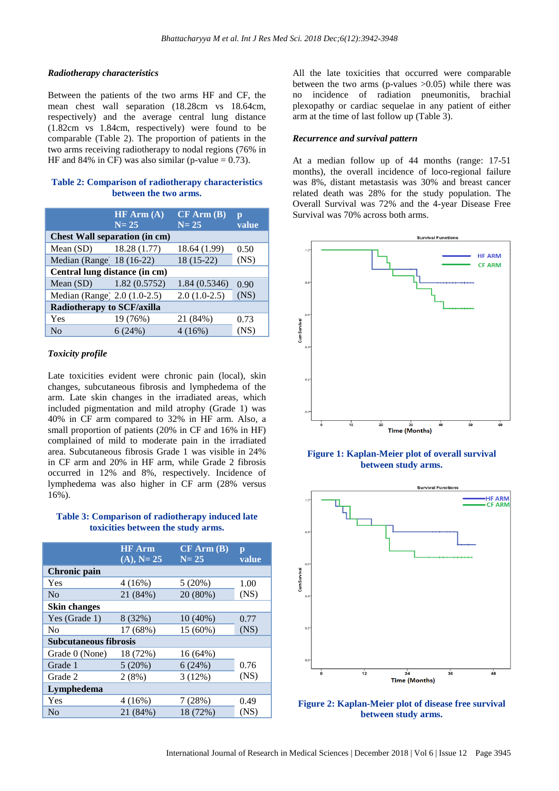# *Radiotherapy characteristics*

Between the patients of the two arms HF and CF, the mean chest wall separation (18.28cm vs 18.64cm, respectively) and the average central lung distance (1.82cm vs 1.84cm, respectively) were found to be comparable (Table 2). The proportion of patients in the two arms receiving radiotherapy to nodal regions (76% in HF and 84% in CF) was also similar (p-value  $= 0.73$ ).

#### **Table 2: Comparison of radiotherapy characteristics between the two arms.**

|                                      | HF Arm (A)<br>$N = 25$ | $CF$ Arm $(B)$<br>$N = 25$ | $\mathbf{p}$<br>value |  |  |  |
|--------------------------------------|------------------------|----------------------------|-----------------------|--|--|--|
| <b>Chest Wall separation (in cm)</b> |                        |                            |                       |  |  |  |
| Mean $(SD)$ 18.28 $(1.77)$           |                        | 18.64 (1.99)               | 0.50                  |  |  |  |
| Median (Range) 18 (16-22)            |                        | $18(15-22)$                | (NS)                  |  |  |  |
| Central lung distance (in cm)        |                        |                            |                       |  |  |  |
| Mean $(SD)$                          | 1.82(0.5752)           | 1.84(0.5346)               | 0.90                  |  |  |  |
| Median (Range) 2.0 (1.0-2.5)         |                        | $2.0(1.0-2.5)$             | (NS)                  |  |  |  |
| <b>Radiotherapy to SCF/axilla</b>    |                        |                            |                       |  |  |  |
| Yes                                  | 19 (76%)               | 21 (84%)                   | 0.73                  |  |  |  |
| No                                   | 6(24%)                 | 4(16%)                     | (NS)                  |  |  |  |

# *Toxicity profile*

Late toxicities evident were chronic pain (local), skin changes, subcutaneous fibrosis and lymphedema of the arm. Late skin changes in the irradiated areas, which included pigmentation and mild atrophy (Grade 1) was 40% in CF arm compared to 32% in HF arm. Also, a small proportion of patients (20% in CF and 16% in HF) complained of mild to moderate pain in the irradiated area. Subcutaneous fibrosis Grade 1 was visible in 24% in CF arm and 20% in HF arm, while Grade 2 fibrosis occurred in 12% and 8%, respectively. Incidence of lymphedema was also higher in CF arm (28% versus 16%).

# **Table 3: Comparison of radiotherapy induced late toxicities between the study arms.**

|                              | <b>HF</b> Arm | $CF$ Arm $(B)$ | $\mathbf{p}$ |  |  |  |
|------------------------------|---------------|----------------|--------------|--|--|--|
|                              | $(A), N = 25$ | $N = 25$       | value        |  |  |  |
| <b>Chronic</b> pain          |               |                |              |  |  |  |
| Yes                          | 4(16%)        | 5(20%)         | 1.00         |  |  |  |
| N <sub>0</sub>               | 21 (84%)      | 20 (80%)       | (NS)         |  |  |  |
| <b>Skin changes</b>          |               |                |              |  |  |  |
| Yes (Grade 1)                | 8 (32%)       | $10(40\%)$     | 0.77         |  |  |  |
| N <sub>0</sub>               | 17 (68%)      | 15 (60%)       | (NS)         |  |  |  |
| <b>Subcutaneous fibrosis</b> |               |                |              |  |  |  |
| Grade 0 (None)               | 18 (72%)      | $16(64\%)$     |              |  |  |  |
| Grade 1                      | 5(20%)        | 6(24%)         | 0.76         |  |  |  |
| Grade 2                      | 2(8%)         | 3(12%)         | (NS)         |  |  |  |
| Lymphedema                   |               |                |              |  |  |  |
| Yes                          | 4(16%)        | 7(28%)         | 0.49         |  |  |  |
| No                           | 21 (84%)      | 18 (72%)       | (NS)         |  |  |  |

All the late toxicities that occurred were comparable between the two arms (p-values  $>0.05$ ) while there was no incidence of radiation pneumonitis, brachial plexopathy or cardiac sequelae in any patient of either arm at the time of last follow up (Table 3).

#### *Recurrence and survival pattern*

At a median follow up of 44 months (range: 17-51 months), the overall incidence of loco-regional failure was 8%, distant metastasis was 30% and breast cancer related death was 28% for the study population. The Overall Survival was 72% and the 4-year Disease Free Survival was 70% across both arms.



**Figure 1: Kaplan-Meier plot of overall survival between study arms.**



**Figure 2: Kaplan-Meier plot of disease free survival between study arms.**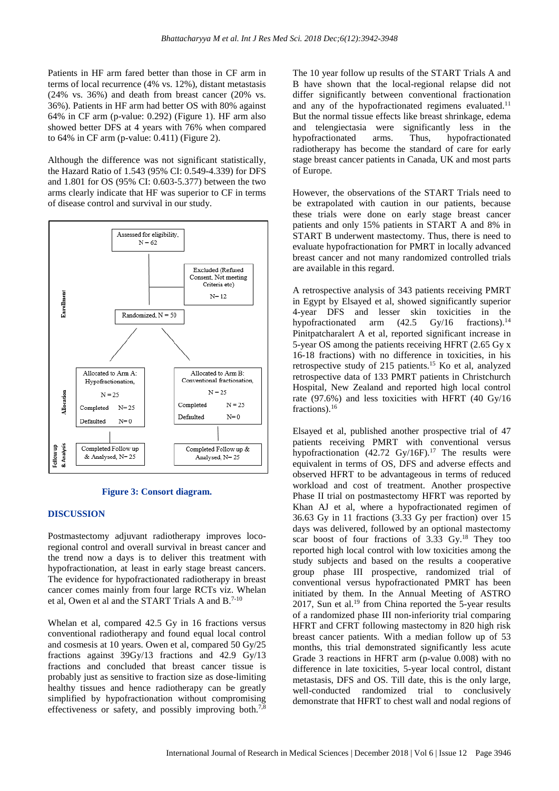Patients in HF arm fared better than those in CF arm in terms of local recurrence (4% vs. 12%), distant metastasis (24% vs. 36%) and death from breast cancer (20% vs. 36%). Patients in HF arm had better OS with 80% against 64% in CF arm (p-value: 0.292) (Figure 1). HF arm also showed better DFS at 4 years with 76% when compared to 64% in CF arm (p-value: 0.411) (Figure 2).

Although the difference was not significant statistically, the Hazard Ratio of 1.543 (95% CI: 0.549-4.339) for DFS and 1.801 for OS (95% CI: 0.603-5.377) between the two arms clearly indicate that HF was superior to CF in terms of disease control and survival in our study.



**Figure 3: Consort diagram.**

#### **DISCUSSION**

Postmastectomy adjuvant radiotherapy improves locoregional control and overall survival in breast cancer and the trend now a days is to deliver this treatment with hypofractionation, at least in early stage breast cancers. The evidence for hypofractionated radiotherapy in breast cancer comes mainly from four large RCTs viz. Whelan et al, Owen et al and the START Trials A and B.<sup>7-10</sup>

Whelan et al, compared 42.5 Gy in 16 fractions versus conventional radiotherapy and found equal local control and cosmesis at 10 years. Owen et al, compared 50 Gy/25 fractions against 39Gy/13 fractions and 42.9 Gy/13 fractions and concluded that breast cancer tissue is probably just as sensitive to fraction size as dose-limiting healthy tissues and hence radiotherapy can be greatly simplified by hypofractionation without compromising effectiveness or safety, and possibly improving both.<sup>7,8</sup>

The 10 year follow up results of the START Trials A and B have shown that the local-regional relapse did not differ significantly between conventional fractionation and any of the hypofractionated regimens evaluated.<sup>11</sup> But the normal tissue effects like breast shrinkage, edema and telengiectasia were significantly less in the hypofractionated arms. Thus, hypofractionated radiotherapy has become the standard of care for early stage breast cancer patients in Canada, UK and most parts of Europe.

However, the observations of the START Trials need to be extrapolated with caution in our patients, because these trials were done on early stage breast cancer patients and only 15% patients in START A and 8% in START B underwent mastectomy. Thus, there is need to evaluate hypofractionation for PMRT in locally advanced breast cancer and not many randomized controlled trials are available in this regard.

A retrospective analysis of 343 patients receiving PMRT in Egypt by Elsayed et al, showed significantly superior 4-year DFS and lesser skin toxicities in the hypofractionated arm  $(42.5 \text{ Gy}/16 \text{ fractions})$ .<sup>14</sup> Pinitpatcharalert A et al, reported significant increase in 5-year OS among the patients receiving HFRT (2.65 Gy x 16-18 fractions) with no difference in toxicities, in his retrospective study of 215 patients.<sup>15</sup> Ko et al, analyzed retrospective data of 133 PMRT patients in Christchurch Hospital, New Zealand and reported high local control rate (97.6%) and less toxicities with HFRT (40 Gy/16 fractions).<sup>16</sup>

Elsayed et al, published another prospective trial of 47 patients receiving PMRT with conventional versus hypofractionation  $(42.72 \text{ Gy}/16\text{F})$ .<sup>17</sup> The results were equivalent in terms of OS, DFS and adverse effects and observed HFRT to be advantageous in terms of reduced workload and cost of treatment. Another prospective Phase II trial on postmastectomy HFRT was reported by Khan AJ et al, where a hypofractionated regimen of 36.63 Gy in 11 fractions (3.33 Gy per fraction) over 15 days was delivered, followed by an optional mastectomy scar boost of four fractions of 3.33 Gy.<sup>18</sup> They too reported high local control with low toxicities among the study subjects and based on the results a cooperative group phase III prospective, randomized trial of conventional versus hypofractionated PMRT has been initiated by them. In the Annual Meeting of ASTRO 2017, Sun et al.<sup>19</sup> from China reported the 5-year results of a randomized phase III non-inferiority trial comparing HFRT and CFRT following mastectomy in 820 high risk breast cancer patients. With a median follow up of 53 months, this trial demonstrated significantly less acute Grade 3 reactions in HFRT arm (p-value 0.008) with no difference in late toxicities, 5-year local control, distant metastasis, DFS and OS. Till date, this is the only large, well-conducted randomized trial to conclusively demonstrate that HFRT to chest wall and nodal regions of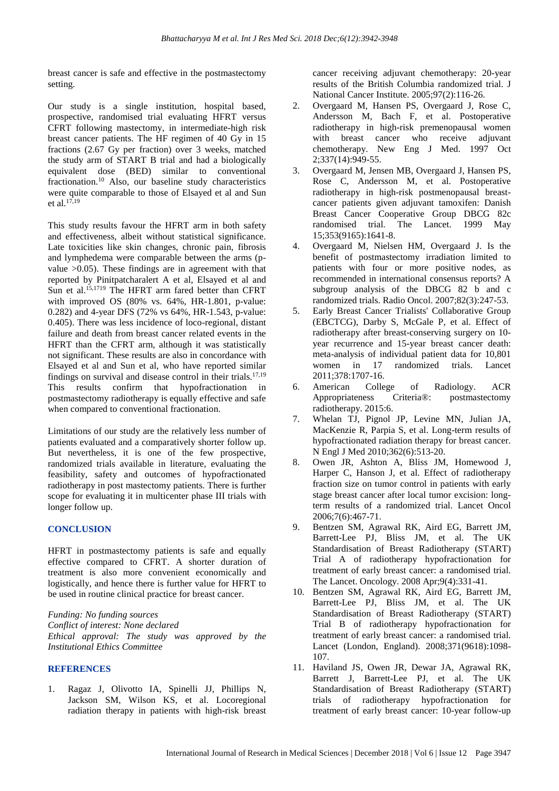breast cancer is safe and effective in the postmastectomy setting.

Our study is a single institution, hospital based, prospective, randomised trial evaluating HFRT versus CFRT following mastectomy, in intermediate-high risk breast cancer patients. The HF regimen of 40 Gy in 15 fractions (2.67 Gy per fraction) over 3 weeks, matched the study arm of START B trial and had a biologically equivalent dose (BED) similar to conventional fractionation.<sup>10</sup> Also, our baseline study characteristics were quite comparable to those of Elsayed et al and Sun et al.  $17,19$ 

This study results favour the HFRT arm in both safety and effectiveness, albeit without statistical significance. Late toxicities like skin changes, chronic pain, fibrosis and lymphedema were comparable between the arms (pvalue  $>0.05$ ). These findings are in agreement with that reported by Pinitpatcharalert A et al, Elsayed et al and Sun et al.15,1719 The HFRT arm fared better than CFRT with improved OS (80% vs. 64%, HR-1.801, p-value: 0.282) and 4-year DFS (72% vs 64%, HR-1.543, p-value: 0.405). There was less incidence of loco-regional, distant failure and death from breast cancer related events in the HFRT than the CFRT arm, although it was statistically not significant. These results are also in concordance with Elsayed et al and Sun et al, who have reported similar findings on survival and disease control in their trials.<sup>17,19</sup> This results confirm that hypofractionation in postmastectomy radiotherapy is equally effective and safe when compared to conventional fractionation.

Limitations of our study are the relatively less number of patients evaluated and a comparatively shorter follow up. But nevertheless, it is one of the few prospective, randomized trials available in literature, evaluating the feasibility, safety and outcomes of hypofractionated radiotherapy in post mastectomy patients. There is further scope for evaluating it in multicenter phase III trials with longer follow up.

# **CONCLUSION**

HFRT in postmastectomy patients is safe and equally effective compared to CFRT. A shorter duration of treatment is also more convenient economically and logistically, and hence there is further value for HFRT to be used in routine clinical practice for breast cancer.

*Funding: No funding sources Conflict of interest: None declared Ethical approval: The study was approved by the Institutional Ethics Committee*

#### **REFERENCES**

1. Ragaz J, Olivotto IA, Spinelli JJ, Phillips N, Jackson SM, Wilson KS, et al. Locoregional radiation therapy in patients with high-risk breast cancer receiving adjuvant chemotherapy: 20-year results of the British Columbia randomized trial. J National Cancer Institute. 2005;97(2):116-26.

- 2. Overgaard M, Hansen PS, Overgaard J, Rose C, Andersson M, Bach F, et al. Postoperative radiotherapy in high-risk premenopausal women with breast cancer who receive adjuvant chemotherapy. New Eng J Med. 1997 Oct 2;337(14):949-55.
- 3. Overgaard M, Jensen MB, Overgaard J, Hansen PS, Rose C, Andersson M, et al. Postoperative radiotherapy in high-risk postmenopausal breastcancer patients given adjuvant tamoxifen: Danish Breast Cancer Cooperative Group DBCG 82c randomised trial. The Lancet. 1999 May 15;353(9165):1641-8.
- 4. Overgaard M, Nielsen HM, Overgaard J. Is the benefit of postmastectomy irradiation limited to patients with four or more positive nodes, as recommended in international consensus reports? A subgroup analysis of the DBCG 82 b and c randomized trials. Radio Oncol. 2007;82(3):247-53.
- 5. Early Breast Cancer Trialists' Collaborative Group (EBCTCG), Darby S, McGale P, et al. Effect of radiotherapy after breast-conserving surgery on 10 year recurrence and 15-year breast cancer death: meta-analysis of individual patient data for 10,801 women in 17 randomized trials. Lancet 2011;378:1707-16.
- 6. American College of Radiology. ACR Appropriateness Criteria®: postmastectomy radiotherapy. 2015:6.
- 7. Whelan TJ, Pignol JP, Levine MN, Julian JA, MacKenzie R, Parpia S, et al. Long-term results of hypofractionated radiation therapy for breast cancer. N Engl J Med 2010;362(6):513-20.
- 8. Owen JR, Ashton A, Bliss JM, Homewood J, Harper C, Hanson J, et al. Effect of radiotherapy fraction size on tumor control in patients with early stage breast cancer after local tumor excision: longterm results of a randomized trial. Lancet Oncol 2006;7(6):467-71.
- 9. Bentzen SM, Agrawal RK, Aird EG, Barrett JM, Barrett-Lee PJ, Bliss JM, et al. The UK Standardisation of Breast Radiotherapy (START) Trial A of radiotherapy hypofractionation for treatment of early breast cancer: a randomised trial. The Lancet. Oncology. 2008 Apr;9(4):331-41.
- 10. Bentzen SM, Agrawal RK, Aird EG, Barrett JM, Barrett-Lee PJ, Bliss JM, et al. The UK Standardisation of Breast Radiotherapy (START) Trial B of radiotherapy hypofractionation for treatment of early breast cancer: a randomised trial. Lancet (London, England). 2008;371(9618):1098- 107.
- 11. Haviland JS, Owen JR, Dewar JA, Agrawal RK, Barrett J, Barrett-Lee PJ, et al. The UK Standardisation of Breast Radiotherapy (START) trials of radiotherapy hypofractionation for treatment of early breast cancer: 10-year follow-up